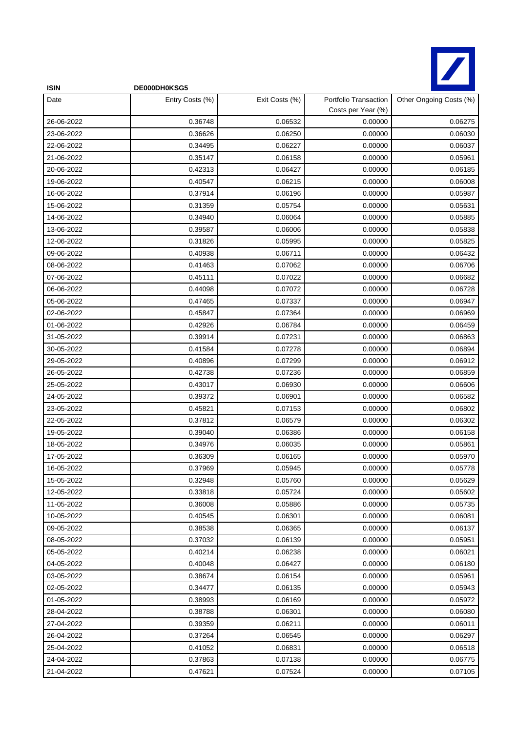

| <b>ISIN</b> | DE000DH0KSG5    |                |                                             |                         |
|-------------|-----------------|----------------|---------------------------------------------|-------------------------|
| Date        | Entry Costs (%) | Exit Costs (%) | Portfolio Transaction<br>Costs per Year (%) | Other Ongoing Costs (%) |
| 26-06-2022  | 0.36748         | 0.06532        | 0.00000                                     | 0.06275                 |
| 23-06-2022  | 0.36626         | 0.06250        | 0.00000                                     | 0.06030                 |
| 22-06-2022  | 0.34495         | 0.06227        | 0.00000                                     | 0.06037                 |
| 21-06-2022  | 0.35147         | 0.06158        | 0.00000                                     | 0.05961                 |
| 20-06-2022  | 0.42313         | 0.06427        | 0.00000                                     | 0.06185                 |
| 19-06-2022  | 0.40547         | 0.06215        | 0.00000                                     | 0.06008                 |
| 16-06-2022  | 0.37914         | 0.06196        | 0.00000                                     | 0.05987                 |
| 15-06-2022  | 0.31359         | 0.05754        | 0.00000                                     | 0.05631                 |
| 14-06-2022  | 0.34940         | 0.06064        | 0.00000                                     | 0.05885                 |
| 13-06-2022  | 0.39587         | 0.06006        | 0.00000                                     | 0.05838                 |
| 12-06-2022  | 0.31826         | 0.05995        | 0.00000                                     | 0.05825                 |
| 09-06-2022  | 0.40938         | 0.06711        | 0.00000                                     | 0.06432                 |
| 08-06-2022  | 0.41463         | 0.07062        | 0.00000                                     | 0.06706                 |
| 07-06-2022  | 0.45111         | 0.07022        | 0.00000                                     | 0.06682                 |
| 06-06-2022  | 0.44098         | 0.07072        | 0.00000                                     | 0.06728                 |
| 05-06-2022  | 0.47465         | 0.07337        | 0.00000                                     | 0.06947                 |
| 02-06-2022  | 0.45847         | 0.07364        | 0.00000                                     | 0.06969                 |
| 01-06-2022  | 0.42926         | 0.06784        | 0.00000                                     | 0.06459                 |
| 31-05-2022  | 0.39914         | 0.07231        | 0.00000                                     | 0.06863                 |
| 30-05-2022  | 0.41584         | 0.07278        | 0.00000                                     | 0.06894                 |
| 29-05-2022  | 0.40896         | 0.07299        | 0.00000                                     | 0.06912                 |
| 26-05-2022  | 0.42738         | 0.07236        | 0.00000                                     | 0.06859                 |
| 25-05-2022  | 0.43017         | 0.06930        | 0.00000                                     | 0.06606                 |
| 24-05-2022  | 0.39372         | 0.06901        | 0.00000                                     | 0.06582                 |
| 23-05-2022  | 0.45821         | 0.07153        | 0.00000                                     | 0.06802                 |
| 22-05-2022  | 0.37812         | 0.06579        | 0.00000                                     | 0.06302                 |
| 19-05-2022  | 0.39040         | 0.06386        | 0.00000                                     | 0.06158                 |
| 18-05-2022  | 0.34976         | 0.06035        | 0.00000                                     | 0.05861                 |
| 17-05-2022  | 0.36309         | 0.06165        | 0.00000                                     | 0.05970                 |
| 16-05-2022  | 0.37969         | 0.05945        | 0.00000                                     | 0.05778                 |
| 15-05-2022  | 0.32948         | 0.05760        | 0.00000                                     | 0.05629                 |
| 12-05-2022  | 0.33818         | 0.05724        | 0.00000                                     | 0.05602                 |
| 11-05-2022  | 0.36008         | 0.05886        | 0.00000                                     | 0.05735                 |
| 10-05-2022  | 0.40545         | 0.06301        | 0.00000                                     | 0.06081                 |
| 09-05-2022  | 0.38538         | 0.06365        | 0.00000                                     | 0.06137                 |
| 08-05-2022  | 0.37032         | 0.06139        | 0.00000                                     | 0.05951                 |
| 05-05-2022  | 0.40214         | 0.06238        | 0.00000                                     | 0.06021                 |
| 04-05-2022  | 0.40048         | 0.06427        | 0.00000                                     | 0.06180                 |
| 03-05-2022  | 0.38674         | 0.06154        | 0.00000                                     | 0.05961                 |
| 02-05-2022  | 0.34477         | 0.06135        | 0.00000                                     | 0.05943                 |
| 01-05-2022  | 0.38993         | 0.06169        | 0.00000                                     | 0.05972                 |
| 28-04-2022  | 0.38788         | 0.06301        | 0.00000                                     | 0.06080                 |
| 27-04-2022  | 0.39359         | 0.06211        | 0.00000                                     | 0.06011                 |
| 26-04-2022  | 0.37264         | 0.06545        | 0.00000                                     | 0.06297                 |
| 25-04-2022  | 0.41052         | 0.06831        | 0.00000                                     | 0.06518                 |
| 24-04-2022  | 0.37863         | 0.07138        | 0.00000                                     | 0.06775                 |
| 21-04-2022  | 0.47621         | 0.07524        | 0.00000                                     | 0.07105                 |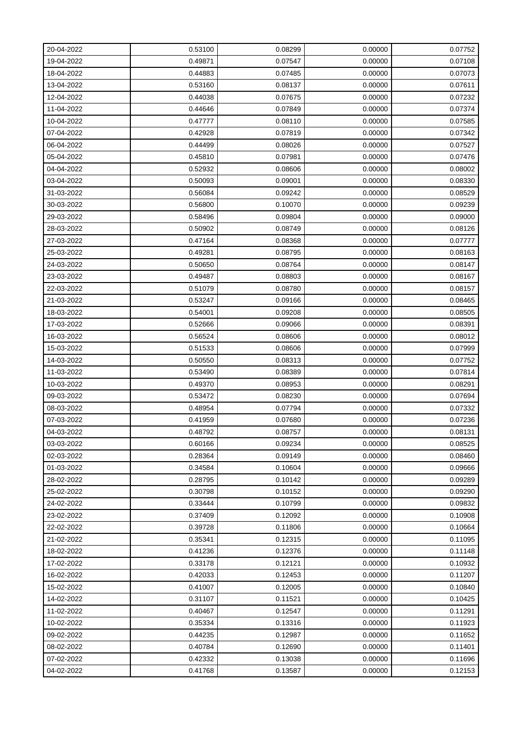| 20-04-2022 | 0.53100 | 0.08299 | 0.00000 | 0.07752 |
|------------|---------|---------|---------|---------|
| 19-04-2022 | 0.49871 | 0.07547 | 0.00000 | 0.07108 |
| 18-04-2022 | 0.44883 | 0.07485 | 0.00000 | 0.07073 |
| 13-04-2022 | 0.53160 | 0.08137 | 0.00000 | 0.07611 |
| 12-04-2022 | 0.44038 | 0.07675 | 0.00000 | 0.07232 |
| 11-04-2022 | 0.44646 | 0.07849 | 0.00000 | 0.07374 |
| 10-04-2022 | 0.47777 | 0.08110 | 0.00000 | 0.07585 |
| 07-04-2022 | 0.42928 | 0.07819 | 0.00000 | 0.07342 |
| 06-04-2022 | 0.44499 | 0.08026 | 0.00000 | 0.07527 |
| 05-04-2022 | 0.45810 | 0.07981 | 0.00000 | 0.07476 |
| 04-04-2022 | 0.52932 | 0.08606 | 0.00000 | 0.08002 |
| 03-04-2022 | 0.50093 | 0.09001 | 0.00000 | 0.08330 |
| 31-03-2022 | 0.56084 | 0.09242 | 0.00000 | 0.08529 |
| 30-03-2022 | 0.56800 | 0.10070 | 0.00000 | 0.09239 |
| 29-03-2022 | 0.58496 | 0.09804 | 0.00000 | 0.09000 |
| 28-03-2022 | 0.50902 | 0.08749 | 0.00000 | 0.08126 |
| 27-03-2022 | 0.47164 | 0.08368 | 0.00000 | 0.07777 |
| 25-03-2022 | 0.49281 | 0.08795 | 0.00000 | 0.08163 |
| 24-03-2022 | 0.50650 | 0.08764 | 0.00000 | 0.08147 |
| 23-03-2022 | 0.49487 | 0.08803 | 0.00000 | 0.08167 |
| 22-03-2022 | 0.51079 | 0.08780 | 0.00000 | 0.08157 |
| 21-03-2022 | 0.53247 | 0.09166 | 0.00000 | 0.08465 |
| 18-03-2022 | 0.54001 | 0.09208 | 0.00000 | 0.08505 |
| 17-03-2022 | 0.52666 | 0.09066 | 0.00000 | 0.08391 |
| 16-03-2022 | 0.56524 | 0.08606 | 0.00000 | 0.08012 |
| 15-03-2022 | 0.51533 | 0.08606 | 0.00000 | 0.07999 |
| 14-03-2022 | 0.50550 | 0.08313 | 0.00000 | 0.07752 |
| 11-03-2022 | 0.53490 | 0.08389 | 0.00000 | 0.07814 |
| 10-03-2022 | 0.49370 | 0.08953 | 0.00000 | 0.08291 |
| 09-03-2022 | 0.53472 | 0.08230 | 0.00000 | 0.07694 |
| 08-03-2022 | 0.48954 | 0.07794 | 0.00000 | 0.07332 |
| 07-03-2022 | 0.41959 | 0.07680 | 0.00000 | 0.07236 |
| 04-03-2022 | 0.48792 | 0.08757 | 0.00000 | 0.08131 |
| 03-03-2022 | 0.60166 | 0.09234 | 0.00000 | 0.08525 |
| 02-03-2022 | 0.28364 | 0.09149 | 0.00000 | 0.08460 |
| 01-03-2022 | 0.34584 | 0.10604 | 0.00000 | 0.09666 |
| 28-02-2022 | 0.28795 | 0.10142 | 0.00000 | 0.09289 |
| 25-02-2022 | 0.30798 | 0.10152 | 0.00000 | 0.09290 |
| 24-02-2022 | 0.33444 | 0.10799 | 0.00000 | 0.09832 |
| 23-02-2022 | 0.37409 | 0.12092 | 0.00000 | 0.10908 |
| 22-02-2022 | 0.39728 | 0.11806 | 0.00000 | 0.10664 |
| 21-02-2022 | 0.35341 | 0.12315 | 0.00000 | 0.11095 |
| 18-02-2022 | 0.41236 | 0.12376 | 0.00000 | 0.11148 |
| 17-02-2022 | 0.33178 | 0.12121 | 0.00000 | 0.10932 |
| 16-02-2022 | 0.42033 | 0.12453 | 0.00000 | 0.11207 |
| 15-02-2022 | 0.41007 | 0.12005 | 0.00000 | 0.10840 |
| 14-02-2022 | 0.31107 | 0.11521 | 0.00000 | 0.10425 |
| 11-02-2022 | 0.40467 | 0.12547 | 0.00000 | 0.11291 |
| 10-02-2022 | 0.35334 | 0.13316 | 0.00000 | 0.11923 |
| 09-02-2022 | 0.44235 | 0.12987 | 0.00000 | 0.11652 |
| 08-02-2022 | 0.40784 | 0.12690 | 0.00000 | 0.11401 |
| 07-02-2022 | 0.42332 | 0.13038 | 0.00000 | 0.11696 |
| 04-02-2022 | 0.41768 | 0.13587 | 0.00000 | 0.12153 |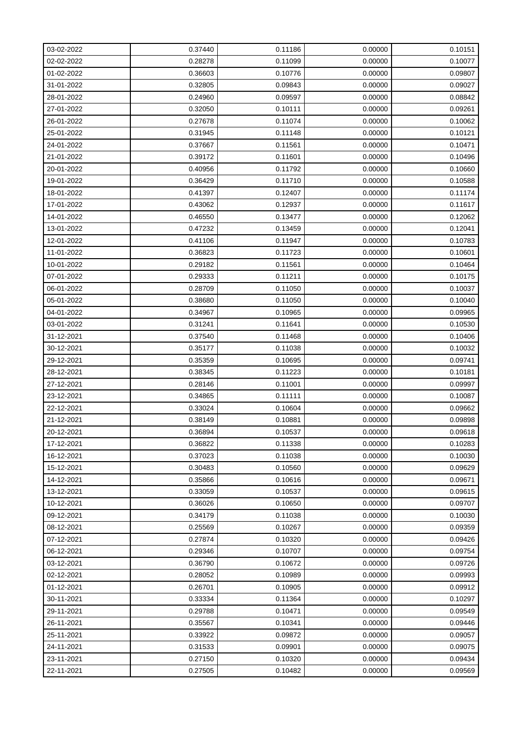| 03-02-2022 | 0.37440 | 0.11186 | 0.00000 | 0.10151 |
|------------|---------|---------|---------|---------|
| 02-02-2022 | 0.28278 | 0.11099 | 0.00000 | 0.10077 |
| 01-02-2022 | 0.36603 | 0.10776 | 0.00000 | 0.09807 |
| 31-01-2022 | 0.32805 | 0.09843 | 0.00000 | 0.09027 |
| 28-01-2022 | 0.24960 | 0.09597 | 0.00000 | 0.08842 |
| 27-01-2022 | 0.32050 | 0.10111 | 0.00000 | 0.09261 |
| 26-01-2022 | 0.27678 | 0.11074 | 0.00000 | 0.10062 |
| 25-01-2022 | 0.31945 | 0.11148 | 0.00000 | 0.10121 |
| 24-01-2022 | 0.37667 | 0.11561 | 0.00000 | 0.10471 |
| 21-01-2022 | 0.39172 | 0.11601 | 0.00000 | 0.10496 |
| 20-01-2022 | 0.40956 | 0.11792 | 0.00000 | 0.10660 |
| 19-01-2022 | 0.36429 | 0.11710 | 0.00000 | 0.10588 |
| 18-01-2022 | 0.41397 | 0.12407 | 0.00000 | 0.11174 |
| 17-01-2022 | 0.43062 | 0.12937 | 0.00000 | 0.11617 |
| 14-01-2022 | 0.46550 | 0.13477 | 0.00000 | 0.12062 |
| 13-01-2022 | 0.47232 | 0.13459 | 0.00000 | 0.12041 |
| 12-01-2022 | 0.41106 | 0.11947 | 0.00000 | 0.10783 |
| 11-01-2022 | 0.36823 | 0.11723 | 0.00000 | 0.10601 |
| 10-01-2022 | 0.29182 | 0.11561 | 0.00000 | 0.10464 |
| 07-01-2022 | 0.29333 | 0.11211 | 0.00000 | 0.10175 |
| 06-01-2022 | 0.28709 | 0.11050 | 0.00000 | 0.10037 |
| 05-01-2022 | 0.38680 | 0.11050 | 0.00000 | 0.10040 |
| 04-01-2022 | 0.34967 | 0.10965 | 0.00000 | 0.09965 |
| 03-01-2022 | 0.31241 | 0.11641 | 0.00000 | 0.10530 |
| 31-12-2021 | 0.37540 | 0.11468 | 0.00000 | 0.10406 |
| 30-12-2021 | 0.35177 | 0.11038 | 0.00000 | 0.10032 |
| 29-12-2021 | 0.35359 | 0.10695 | 0.00000 | 0.09741 |
| 28-12-2021 | 0.38345 | 0.11223 | 0.00000 | 0.10181 |
| 27-12-2021 | 0.28146 | 0.11001 | 0.00000 | 0.09997 |
| 23-12-2021 | 0.34865 | 0.11111 | 0.00000 | 0.10087 |
| 22-12-2021 | 0.33024 | 0.10604 | 0.00000 | 0.09662 |
| 21-12-2021 | 0.38149 | 0.10881 | 0.00000 | 0.09898 |
| 20-12-2021 | 0.36894 | 0.10537 | 0.00000 | 0.09618 |
| 17-12-2021 | 0.36822 | 0.11338 | 0.00000 | 0.10283 |
| 16-12-2021 | 0.37023 | 0.11038 | 0.00000 | 0.10030 |
| 15-12-2021 | 0.30483 | 0.10560 | 0.00000 | 0.09629 |
| 14-12-2021 | 0.35866 | 0.10616 | 0.00000 | 0.09671 |
| 13-12-2021 | 0.33059 | 0.10537 | 0.00000 | 0.09615 |
| 10-12-2021 | 0.36026 | 0.10650 | 0.00000 | 0.09707 |
| 09-12-2021 | 0.34179 | 0.11038 | 0.00000 | 0.10030 |
| 08-12-2021 | 0.25569 | 0.10267 | 0.00000 | 0.09359 |
| 07-12-2021 | 0.27874 | 0.10320 | 0.00000 | 0.09426 |
| 06-12-2021 | 0.29346 | 0.10707 | 0.00000 | 0.09754 |
| 03-12-2021 | 0.36790 | 0.10672 | 0.00000 | 0.09726 |
| 02-12-2021 | 0.28052 | 0.10989 | 0.00000 | 0.09993 |
| 01-12-2021 | 0.26701 | 0.10905 | 0.00000 | 0.09912 |
| 30-11-2021 | 0.33334 | 0.11364 | 0.00000 | 0.10297 |
| 29-11-2021 | 0.29788 | 0.10471 | 0.00000 | 0.09549 |
| 26-11-2021 | 0.35567 | 0.10341 | 0.00000 | 0.09446 |
| 25-11-2021 | 0.33922 | 0.09872 | 0.00000 | 0.09057 |
| 24-11-2021 | 0.31533 | 0.09901 | 0.00000 | 0.09075 |
| 23-11-2021 | 0.27150 | 0.10320 | 0.00000 | 0.09434 |
| 22-11-2021 | 0.27505 | 0.10482 | 0.00000 | 0.09569 |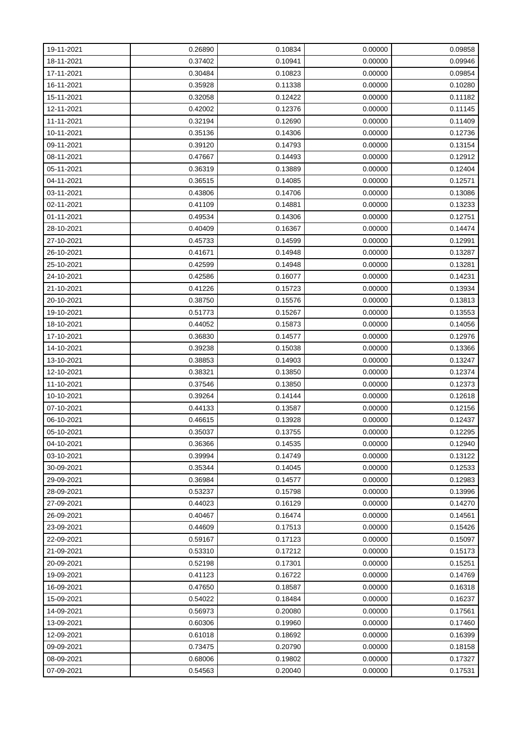| 19-11-2021 | 0.26890 | 0.10834 | 0.00000 | 0.09858 |
|------------|---------|---------|---------|---------|
| 18-11-2021 | 0.37402 | 0.10941 | 0.00000 | 0.09946 |
| 17-11-2021 | 0.30484 | 0.10823 | 0.00000 | 0.09854 |
| 16-11-2021 | 0.35928 | 0.11338 | 0.00000 | 0.10280 |
| 15-11-2021 | 0.32058 | 0.12422 | 0.00000 | 0.11182 |
| 12-11-2021 | 0.42002 | 0.12376 | 0.00000 | 0.11145 |
| 11-11-2021 | 0.32194 | 0.12690 | 0.00000 | 0.11409 |
| 10-11-2021 | 0.35136 | 0.14306 | 0.00000 | 0.12736 |
| 09-11-2021 | 0.39120 | 0.14793 | 0.00000 | 0.13154 |
| 08-11-2021 | 0.47667 | 0.14493 | 0.00000 | 0.12912 |
| 05-11-2021 | 0.36319 | 0.13889 | 0.00000 | 0.12404 |
| 04-11-2021 | 0.36515 | 0.14085 | 0.00000 | 0.12571 |
| 03-11-2021 | 0.43806 | 0.14706 | 0.00000 | 0.13086 |
| 02-11-2021 | 0.41109 | 0.14881 | 0.00000 | 0.13233 |
| 01-11-2021 | 0.49534 | 0.14306 | 0.00000 | 0.12751 |
| 28-10-2021 | 0.40409 | 0.16367 | 0.00000 | 0.14474 |
| 27-10-2021 | 0.45733 | 0.14599 | 0.00000 | 0.12991 |
| 26-10-2021 | 0.41671 | 0.14948 | 0.00000 | 0.13287 |
| 25-10-2021 | 0.42599 | 0.14948 | 0.00000 | 0.13281 |
| 24-10-2021 | 0.42586 | 0.16077 | 0.00000 | 0.14231 |
| 21-10-2021 | 0.41226 | 0.15723 | 0.00000 | 0.13934 |
| 20-10-2021 | 0.38750 | 0.15576 | 0.00000 | 0.13813 |
| 19-10-2021 | 0.51773 | 0.15267 | 0.00000 | 0.13553 |
| 18-10-2021 | 0.44052 | 0.15873 | 0.00000 | 0.14056 |
| 17-10-2021 | 0.36830 | 0.14577 | 0.00000 | 0.12976 |
| 14-10-2021 | 0.39238 | 0.15038 | 0.00000 | 0.13366 |
| 13-10-2021 | 0.38853 | 0.14903 | 0.00000 | 0.13247 |
| 12-10-2021 | 0.38321 | 0.13850 | 0.00000 | 0.12374 |
| 11-10-2021 | 0.37546 | 0.13850 | 0.00000 | 0.12373 |
| 10-10-2021 | 0.39264 | 0.14144 | 0.00000 | 0.12618 |
| 07-10-2021 | 0.44133 | 0.13587 | 0.00000 | 0.12156 |
| 06-10-2021 | 0.46615 | 0.13928 | 0.00000 | 0.12437 |
| 05-10-2021 | 0.35037 | 0.13755 | 0.00000 | 0.12295 |
| 04-10-2021 | 0.36366 | 0.14535 | 0.00000 | 0.12940 |
| 03-10-2021 | 0.39994 | 0.14749 | 0.00000 | 0.13122 |
| 30-09-2021 | 0.35344 | 0.14045 | 0.00000 | 0.12533 |
| 29-09-2021 | 0.36984 | 0.14577 | 0.00000 | 0.12983 |
| 28-09-2021 | 0.53237 | 0.15798 | 0.00000 | 0.13996 |
| 27-09-2021 | 0.44023 | 0.16129 | 0.00000 | 0.14270 |
| 26-09-2021 | 0.40467 | 0.16474 | 0.00000 | 0.14561 |
| 23-09-2021 | 0.44609 | 0.17513 | 0.00000 | 0.15426 |
| 22-09-2021 | 0.59167 | 0.17123 | 0.00000 | 0.15097 |
| 21-09-2021 | 0.53310 | 0.17212 | 0.00000 | 0.15173 |
| 20-09-2021 | 0.52198 | 0.17301 | 0.00000 | 0.15251 |
| 19-09-2021 | 0.41123 | 0.16722 | 0.00000 | 0.14769 |
| 16-09-2021 | 0.47650 | 0.18587 | 0.00000 | 0.16318 |
| 15-09-2021 | 0.54022 | 0.18484 | 0.00000 | 0.16237 |
| 14-09-2021 | 0.56973 | 0.20080 | 0.00000 | 0.17561 |
| 13-09-2021 | 0.60306 | 0.19960 | 0.00000 | 0.17460 |
| 12-09-2021 | 0.61018 | 0.18692 | 0.00000 | 0.16399 |
| 09-09-2021 | 0.73475 | 0.20790 | 0.00000 | 0.18158 |
| 08-09-2021 | 0.68006 | 0.19802 | 0.00000 | 0.17327 |
| 07-09-2021 | 0.54563 | 0.20040 | 0.00000 | 0.17531 |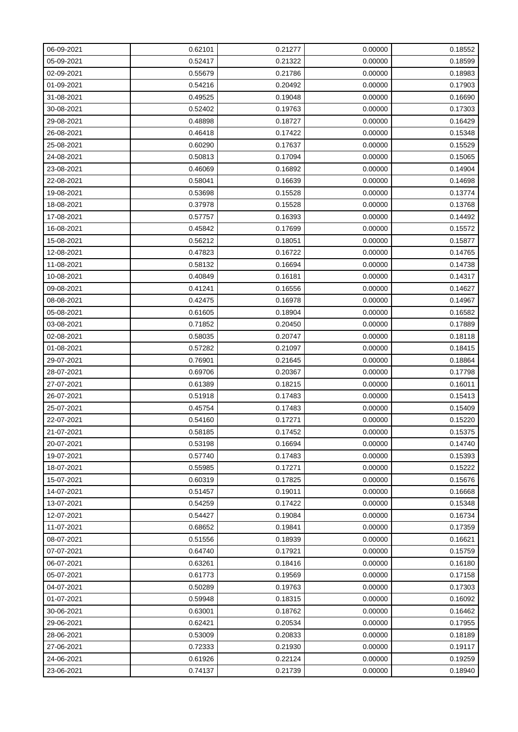| 06-09-2021 | 0.62101 | 0.21277 | 0.00000 | 0.18552 |
|------------|---------|---------|---------|---------|
| 05-09-2021 | 0.52417 | 0.21322 | 0.00000 | 0.18599 |
| 02-09-2021 | 0.55679 | 0.21786 | 0.00000 | 0.18983 |
| 01-09-2021 | 0.54216 | 0.20492 | 0.00000 | 0.17903 |
| 31-08-2021 | 0.49525 | 0.19048 | 0.00000 | 0.16690 |
| 30-08-2021 | 0.52402 | 0.19763 | 0.00000 | 0.17303 |
| 29-08-2021 | 0.48898 | 0.18727 | 0.00000 | 0.16429 |
| 26-08-2021 | 0.46418 | 0.17422 | 0.00000 | 0.15348 |
| 25-08-2021 | 0.60290 | 0.17637 | 0.00000 | 0.15529 |
| 24-08-2021 | 0.50813 | 0.17094 | 0.00000 | 0.15065 |
| 23-08-2021 | 0.46069 | 0.16892 | 0.00000 | 0.14904 |
| 22-08-2021 | 0.58041 | 0.16639 | 0.00000 | 0.14698 |
| 19-08-2021 | 0.53698 | 0.15528 | 0.00000 | 0.13774 |
| 18-08-2021 | 0.37978 | 0.15528 | 0.00000 | 0.13768 |
| 17-08-2021 | 0.57757 | 0.16393 | 0.00000 | 0.14492 |
| 16-08-2021 | 0.45842 | 0.17699 | 0.00000 | 0.15572 |
| 15-08-2021 | 0.56212 | 0.18051 | 0.00000 | 0.15877 |
| 12-08-2021 | 0.47823 | 0.16722 | 0.00000 | 0.14765 |
| 11-08-2021 | 0.58132 | 0.16694 | 0.00000 | 0.14738 |
| 10-08-2021 | 0.40849 | 0.16181 | 0.00000 | 0.14317 |
| 09-08-2021 | 0.41241 | 0.16556 | 0.00000 | 0.14627 |
| 08-08-2021 | 0.42475 | 0.16978 | 0.00000 | 0.14967 |
| 05-08-2021 | 0.61605 | 0.18904 | 0.00000 | 0.16582 |
| 03-08-2021 | 0.71852 | 0.20450 | 0.00000 | 0.17889 |
| 02-08-2021 | 0.58035 | 0.20747 | 0.00000 | 0.18118 |
| 01-08-2021 | 0.57282 | 0.21097 | 0.00000 | 0.18415 |
| 29-07-2021 | 0.76901 | 0.21645 | 0.00000 | 0.18864 |
| 28-07-2021 | 0.69706 | 0.20367 | 0.00000 | 0.17798 |
| 27-07-2021 | 0.61389 | 0.18215 | 0.00000 | 0.16011 |
| 26-07-2021 | 0.51918 | 0.17483 | 0.00000 | 0.15413 |
| 25-07-2021 | 0.45754 | 0.17483 | 0.00000 | 0.15409 |
| 22-07-2021 | 0.54160 | 0.17271 | 0.00000 | 0.15220 |
| 21-07-2021 | 0.58185 | 0.17452 | 0.00000 | 0.15375 |
| 20-07-2021 | 0.53198 | 0.16694 | 0.00000 | 0.14740 |
| 19-07-2021 | 0.57740 | 0.17483 | 0.00000 | 0.15393 |
| 18-07-2021 | 0.55985 | 0.17271 | 0.00000 | 0.15222 |
| 15-07-2021 | 0.60319 | 0.17825 | 0.00000 | 0.15676 |
| 14-07-2021 | 0.51457 | 0.19011 | 0.00000 | 0.16668 |
| 13-07-2021 | 0.54259 | 0.17422 | 0.00000 | 0.15348 |
| 12-07-2021 | 0.54427 | 0.19084 | 0.00000 | 0.16734 |
| 11-07-2021 | 0.68652 | 0.19841 | 0.00000 | 0.17359 |
| 08-07-2021 | 0.51556 | 0.18939 | 0.00000 | 0.16621 |
| 07-07-2021 | 0.64740 | 0.17921 | 0.00000 | 0.15759 |
| 06-07-2021 | 0.63261 | 0.18416 | 0.00000 | 0.16180 |
| 05-07-2021 | 0.61773 | 0.19569 | 0.00000 | 0.17158 |
| 04-07-2021 | 0.50289 | 0.19763 | 0.00000 | 0.17303 |
| 01-07-2021 | 0.59948 | 0.18315 | 0.00000 | 0.16092 |
| 30-06-2021 | 0.63001 | 0.18762 | 0.00000 | 0.16462 |
| 29-06-2021 | 0.62421 | 0.20534 | 0.00000 | 0.17955 |
| 28-06-2021 | 0.53009 | 0.20833 | 0.00000 | 0.18189 |
| 27-06-2021 | 0.72333 | 0.21930 | 0.00000 | 0.19117 |
| 24-06-2021 | 0.61926 | 0.22124 | 0.00000 | 0.19259 |
| 23-06-2021 | 0.74137 | 0.21739 | 0.00000 | 0.18940 |